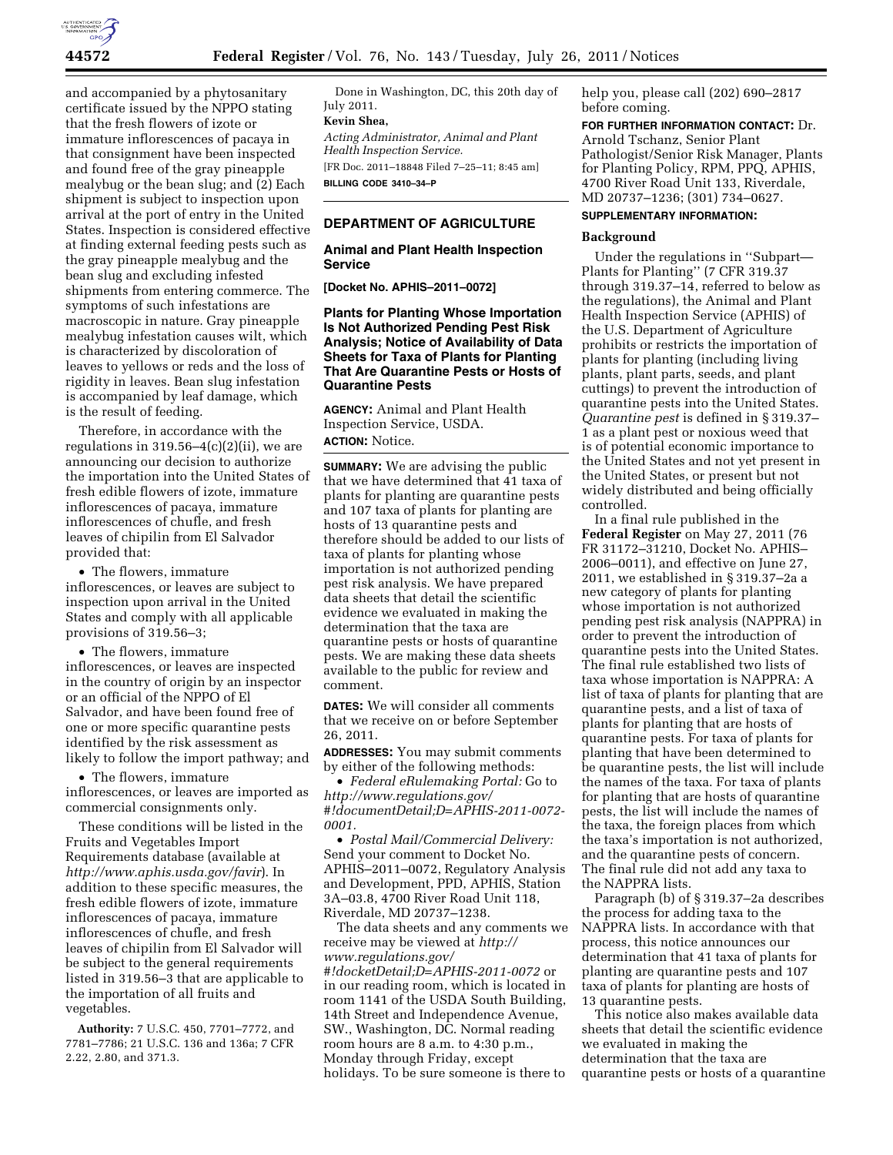

and accompanied by a phytosanitary certificate issued by the NPPO stating that the fresh flowers of izote or immature inflorescences of pacaya in that consignment have been inspected and found free of the gray pineapple mealybug or the bean slug; and (2) Each shipment is subject to inspection upon arrival at the port of entry in the United States. Inspection is considered effective at finding external feeding pests such as the gray pineapple mealybug and the bean slug and excluding infested shipments from entering commerce. The symptoms of such infestations are macroscopic in nature. Gray pineapple mealybug infestation causes wilt, which is characterized by discoloration of leaves to yellows or reds and the loss of rigidity in leaves. Bean slug infestation is accompanied by leaf damage, which is the result of feeding.

Therefore, in accordance with the regulations in  $319.56-4(c)(2)(ii)$ , we are announcing our decision to authorize the importation into the United States of fresh edible flowers of izote, immature inflorescences of pacaya, immature inflorescences of chufle, and fresh leaves of chipilin from El Salvador provided that:

• The flowers, immature inflorescences, or leaves are subject to inspection upon arrival in the United States and comply with all applicable provisions of 319.56–3;

• The flowers, immature inflorescences, or leaves are inspected in the country of origin by an inspector or an official of the NPPO of El Salvador, and have been found free of one or more specific quarantine pests identified by the risk assessment as likely to follow the import pathway; and

• The flowers, immature inflorescences, or leaves are imported as commercial consignments only.

These conditions will be listed in the Fruits and Vegetables Import Requirements database (available at *<http://www.aphis.usda.gov/favir>*). In addition to these specific measures, the fresh edible flowers of izote, immature inflorescences of pacaya, immature inflorescences of chufle, and fresh leaves of chipilin from El Salvador will be subject to the general requirements listed in 319.56–3 that are applicable to the importation of all fruits and vegetables.

**Authority:** 7 U.S.C. 450, 7701–7772, and 7781–7786; 21 U.S.C. 136 and 136a; 7 CFR 2.22, 2.80, and 371.3.

Done in Washington, DC, this 20th day of July 2011.

# **Kevin Shea,**

*Acting Administrator, Animal and Plant Health Inspection Service.*  [FR Doc. 2011–18848 Filed 7–25–11; 8:45 am]

**BILLING CODE 3410–34–P** 

### **DEPARTMENT OF AGRICULTURE**

**Animal and Plant Health Inspection Service** 

**[Docket No. APHIS–2011–0072]** 

**Plants for Planting Whose Importation Is Not Authorized Pending Pest Risk Analysis; Notice of Availability of Data Sheets for Taxa of Plants for Planting That Are Quarantine Pests or Hosts of Quarantine Pests** 

**AGENCY:** Animal and Plant Health Inspection Service, USDA.

# **ACTION:** Notice.

**SUMMARY:** We are advising the public that we have determined that 41 taxa of plants for planting are quarantine pests and 107 taxa of plants for planting are hosts of 13 quarantine pests and therefore should be added to our lists of taxa of plants for planting whose importation is not authorized pending pest risk analysis. We have prepared data sheets that detail the scientific evidence we evaluated in making the determination that the taxa are quarantine pests or hosts of quarantine pests. We are making these data sheets available to the public for review and comment.

**DATES:** We will consider all comments that we receive on or before September 26, 2011.

**ADDRESSES:** You may submit comments by either of the following methods:

• *Federal eRulemaking Portal:* Go to *[http://www.regulations.gov/](http://www.regulations.gov/#!documentDetail;D=APHIS-2011-0072-0001)  [#!documentDetail;D=APHIS-2011-0072-](http://www.regulations.gov/#!documentDetail;D=APHIS-2011-0072-0001) [0001.](http://www.regulations.gov/#!documentDetail;D=APHIS-2011-0072-0001)* 

• *Postal Mail/Commercial Delivery:*  Send your comment to Docket No. APHIS–2011–0072, Regulatory Analysis and Development, PPD, APHIS, Station 3A–03.8, 4700 River Road Unit 118, Riverdale, MD 20737–1238.

The data sheets and any comments we receive may be viewed at *[http://](http://www.regulations.gov/#!docketDetail;D=APHIS-2011-0072)  [www.regulations.gov/](http://www.regulations.gov/#!docketDetail;D=APHIS-2011-0072) [#!docketDetail;D=APHIS-2011-0072](http://www.regulations.gov/#!docketDetail;D=APHIS-2011-0072)* or in our reading room, which is located in room 1141 of the USDA South Building, 14th Street and Independence Avenue, SW., Washington, DC. Normal reading room hours are 8 a.m. to 4:30 p.m., Monday through Friday, except holidays. To be sure someone is there to

help you, please call (202) 690–2817 before coming.

**FOR FURTHER INFORMATION CONTACT:** Dr. Arnold Tschanz, Senior Plant Pathologist/Senior Risk Manager, Plants for Planting Policy, RPM, PPQ, APHIS, 4700 River Road Unit 133, Riverdale, MD 20737–1236; (301) 734–0627.

# **SUPPLEMENTARY INFORMATION:**

### **Background**

Under the regulations in ''Subpart— Plants for Planting'' (7 CFR 319.37 through 319.37–14, referred to below as the regulations), the Animal and Plant Health Inspection Service (APHIS) of the U.S. Department of Agriculture prohibits or restricts the importation of plants for planting (including living plants, plant parts, seeds, and plant cuttings) to prevent the introduction of quarantine pests into the United States. *Quarantine pest* is defined in § 319.37– 1 as a plant pest or noxious weed that is of potential economic importance to the United States and not yet present in the United States, or present but not widely distributed and being officially controlled.

In a final rule published in the **Federal Register** on May 27, 2011 (76 FR 31172–31210, Docket No. APHIS– 2006–0011), and effective on June 27, 2011, we established in § 319.37–2a a new category of plants for planting whose importation is not authorized pending pest risk analysis (NAPPRA) in order to prevent the introduction of quarantine pests into the United States. The final rule established two lists of taxa whose importation is NAPPRA: A list of taxa of plants for planting that are quarantine pests, and a list of taxa of plants for planting that are hosts of quarantine pests. For taxa of plants for planting that have been determined to be quarantine pests, the list will include the names of the taxa. For taxa of plants for planting that are hosts of quarantine pests, the list will include the names of the taxa, the foreign places from which the taxa's importation is not authorized, and the quarantine pests of concern. The final rule did not add any taxa to the NAPPRA lists.

Paragraph (b) of § 319.37–2a describes the process for adding taxa to the NAPPRA lists. In accordance with that process, this notice announces our determination that 41 taxa of plants for planting are quarantine pests and 107 taxa of plants for planting are hosts of 13 quarantine pests.

This notice also makes available data sheets that detail the scientific evidence we evaluated in making the determination that the taxa are quarantine pests or hosts of a quarantine